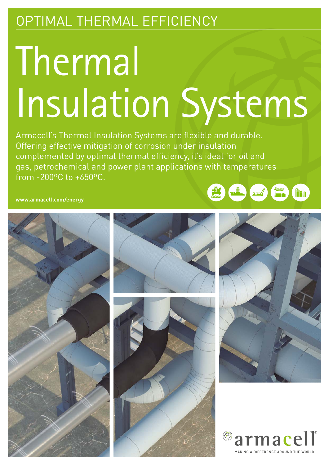## OPTIMAL THERMAL EFFICIENCY

# Thermal Insulation Systems

Armacell's Thermal Insulation Systems are flexible and durable. Offering effective mitigation of corrosion under insulation complemented by optimal thermal efficiency, it's ideal for oil and gas, petrochemical and power plant applications with temperatures from -200ºC to +650ºC.

**www.armacell.com/energy**









**The Contract of Contract Contract of Contract Contract Contract Contract Contract Contract Contract Contract C** 

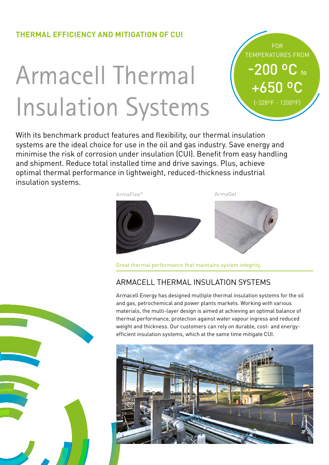#### **THERMAL EFFICIENCY AND MITIGATION OF CUI**

## Armacell Thermal Insulation Systems



With its benchmark product features and flexibility, our thermal insulation systems are the ideal choice for use in the oil and gas industry. Save energy and minimise the risk of corrosion under insulation (CUI). Benefit from easy handling and shipment. Reduce total installed time and drive savings. Plus, achieve optimal thermal performance in lightweight, reduced-thickness industrial insulation systems.



Great thermal performance that maintains system integrity.

#### ARMACELL THERMAL INSULATION SYSTEMS

Armacell Energy has designed multiple thermal insulation systems for the oil and gas, petrochemical and power plants markets. Working with various materials, the multi-layer design is aimed at achieving an optimal balance of thermal performance, protection against water vapour ingress and reduced weight and thickness. Our customers can rely on durable, cost- and energyefficient insulation systems, which at the same time mitigate CUI.



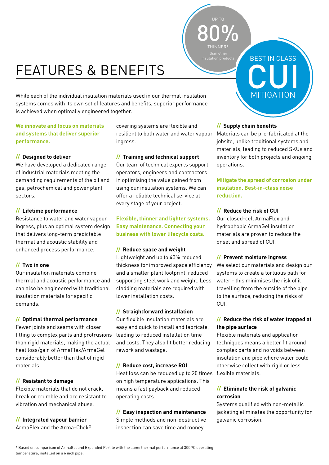## FEATURES & BENEFITS

While each of the individual insulation materials used in our thermal insulation systems comes with its own set of features and benefits, superior performance is achieved when optimally engineered together.

#### **We innovate and focus on materials and systems that deliver superior performance.**

#### **// Designed to deliver**

We have developed a dedicated range of industrial materials meeting the demanding requirements of the oil and gas, petrochemical and power plant sectors.

#### **// Lifetime performance**

Resistance to water and water vapour ingress, plus an optimal system design that delivers long-term predictable thermal and acoustic stability and enhanced process performance.

#### **// Two in one**

Our insulation materials combine thermal and acoustic performance and can also be engineered with traditional insulation materials for specific demands.

#### **// Optimal thermal performance**

Fewer joints and seams with closer fitting to complex parts and protrusions than rigid materials, making the actual heat loss/gain of ArmaFlex/ArmaGel considerably better than that of rigid materials.

#### **// Resistant to damage**

Flexible materials that do not crack, break or crumble and are resistant to vibration and mechanical abuse.

**// Integrated vapour barrier** ArmaFlex and the Arma-Chek® covering systems are flexible and resilient to both water and water vapour Materials can be pre-fabricated at the ingress.

#### **// Training and technical support**

Our team of technical experts support operators, engineers and contractors in optimising the value gained from using our insulation systems. We can offer a reliable technical service at every stage of your project.

#### **Flexible, thinner and lighter systems. Easy maintenance. Connecting your business with lower lifecycle costs.**

#### **// Reduce space and weight**

Lightweight and up to 40% reduced thickness for improved space efficiency and a smaller plant footprint, reduced supporting steel work and weight. Less cladding materials are required with lower installation costs.

#### **// Straightforward installation**

Our flexible insulation materials are easy and quick to install and fabricate, leading to reduced installation time and costs. They also fit better reducing rework and wastage.

#### **// Reduce cost, increase ROI**

Heat loss can be reduced up to 20 times flexible materials. on high temperature applications. This means a fast payback and reduced operating costs.

#### **// Easy inspection and maintenance**

Simple methods and non-destructive inspection can save time and money.

#### **// Supply chain benefits**

80%

THINNER\*

jobsite, unlike traditional systems and materials, leading to reduced SKUs and inventory for both projects and ongoing operations.

BEST IN CLASS

CUI

**MITIGATION** 

#### **Mitigate the spread of corrosion under insulation. Best-in-class noise reduction.**

#### **// Reduce the risk of CUI**

Our closed-cell ArmaFlex and hydrophobic ArmaGel insulation materials are proven to reduce the onset and spread of CUI.

#### **// Prevent moisture ingress**

We select our materials and design our systems to create a tortuous path for water - this minimises the risk of it travelling from the outside of the pipe to the surface, reducing the risks of CUI.

#### **// Reduce the risk of water trapped at the pipe surface**

Flexible materials and application techniques means a better fit around complex parts and no voids between insulation and pipe where water could otherwise collect with rigid or less

#### **// Eliminate the risk of galvanic corrosion**

Systems qualified with non-metallic jacketing eliminates the opportunity for galvanic corrosion.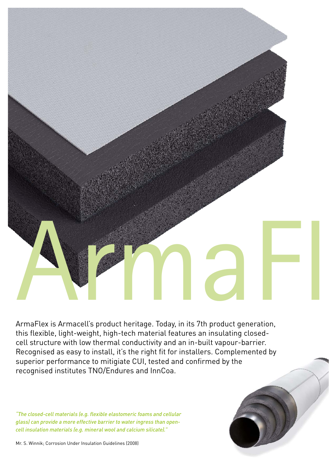

ArmaFlex is Armacell's product heritage. Today, in its 7th product generation, this flexible, light-weight, high-tech material features an insulating closedcell structure with low thermal conductivity and an in-built vapour-barrier. Recognised as easy to install, it's the right fit for installers. Complemented by superior performance to mitigiate CUI, tested and confirmed by the recognised institutes TNO/Endures and InnCoa.

*"The closed-cell materials (e.g. flexible elastomeric foams and cellular glass) can provide a more effective barrier to water ingress than opencell insulation materials (e.g. mineral wool and calcium silicate)."*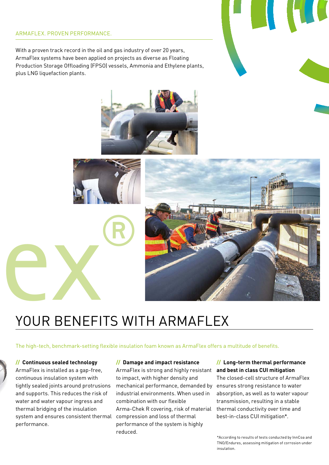#### ARMAFLEX. PROVEN PERFORMANCE.

With a proven track record in the oil and gas industry of over 20 years, ArmaFlex systems have been applied on projects as diverse as Floating Production Storage Offloading (FPSO) vessels, Ammonia and Ethylene plants, plus LNG liquefaction plants.





## YOUR BENEFITS WITH ARMAFLEX

The high-tech, benchmark-setting flexible insulation foam known as ArmaFlex offers a multitude of benefits.

#### **// Continuous sealed technology**

ArmaFlex is installed as a gap-free, continuous insulation system with tightly sealed joints around protrusions and supports. This reduces the risk of water and water vapour ingress and thermal bridging of the insulation system and ensures consistent thermal compression and loss of thermal performance.

#### **// Damage and impact resistance**

ArmaFlex is strong and highly resistant **and best in class CUI mitigation**  to impact, with higher density and mechanical performance, demanded by industrial environments. When used in combination with our flexible Arma-Chek R covering, risk of material performance of the system is highly reduced.

### **// Long-term thermal performance**

The closed-cell structure of ArmaFlex ensures strong resistance to water absorption, as well as to water vapour transmission, resulting in a stable thermal conductivity over time and best-in-class CUI mitigation\*.

\*According to results of tests conducted by InnCoa and TNO/Endures, assessing mitigation of corrosion under insulation.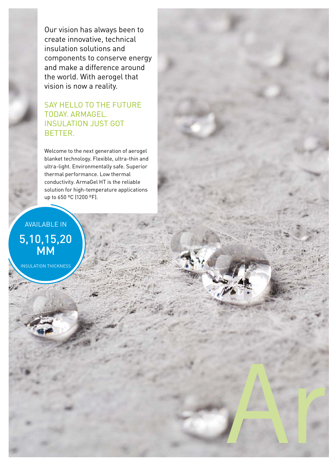Our vision has always been to create innovative, technical insulation solutions and components to conserve energy and make a difference around the world. With aerogel that vision is now a reality.

#### SAY HELLO TO THE FUTURE TODAY. ARMAGEL. INSULATION JUST GOT BETTER.

Welcome to the next generation of aerogel blanket technology. Flexible, ultra-thin and ultra-light. Environmentally safe. Superior thermal performance. Low thermal conductivity. ArmaGel HT is the reliable solution for high-temperature applications up to 650 ºC (1200 ºF).

ArmaGel

AVAILABLE IN 5,10,15,20 MM

INSULATION THICKNESS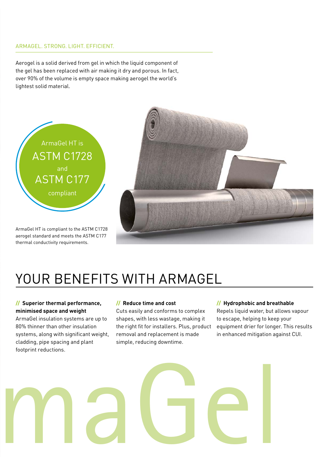#### ARMAGEL. STRONG. LIGHT. EFFICIENT.

Aerogel is a solid derived from gel in which the liquid component of the gel has been replaced with air making it dry and porous. In fact, over 90% of the volume is empty space making aerogel the world's lightest solid material.



ArmaGel HT is compliant to the ASTM C1728 aerogel standard and meets the ASTM C177 thermal conductivity requirements.



## YOUR BENEFITS WITH ARMAGEL

#### **// Superior thermal performance, minimised space and weight**

ArmaGel insulation systems are up to 80% thinner than other insulation systems, along with significant weight, cladding, pipe spacing and plant footprint reductions.

#### **// Reduce time and cost**

Cuts easily and conforms to complex shapes, with less wastage, making it the right fit for installers. Plus, product removal and replacement is made simple, reducing downtime.

#### **// Hydrophobic and breathable**

Repels liquid water, but allows vapour to escape, helping to keep your equipment drier for longer. This results in enhanced mitigation against CUI.